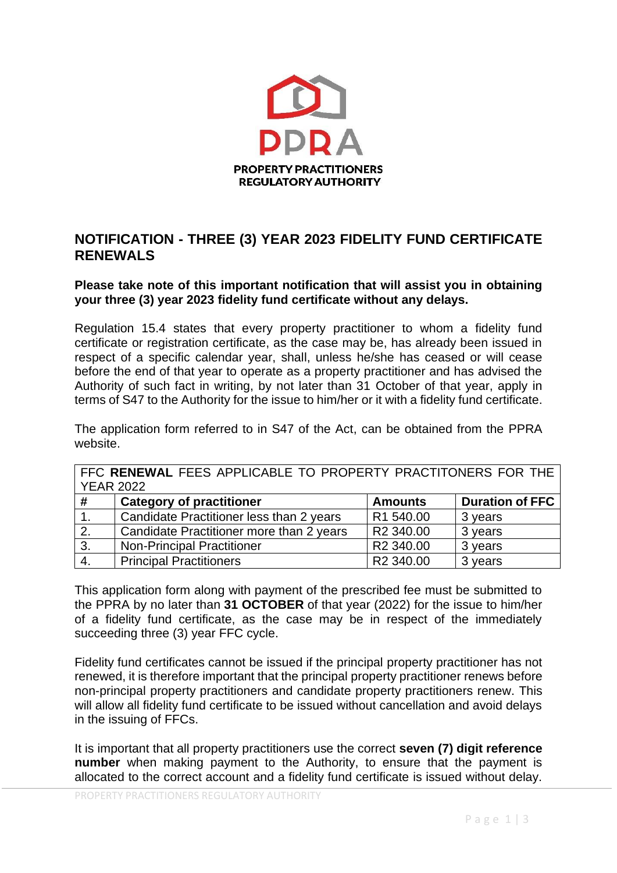

# **NOTIFICATION - THREE (3) YEAR 2023 FIDELITY FUND CERTIFICATE RENEWALS**

**Please take note of this important notification that will assist you in obtaining your three (3) year 2023 fidelity fund certificate without any delays.**

Regulation 15.4 states that every property practitioner to whom a fidelity fund certificate or registration certificate, as the case may be, has already been issued in respect of a specific calendar year, shall, unless he/she has ceased or will cease before the end of that year to operate as a property practitioner and has advised the Authority of such fact in writing, by not later than 31 October of that year, apply in terms of S47 to the Authority for the issue to him/her or it with a fidelity fund certificate.

The application form referred to in S47 of the Act, can be obtained from the PPRA website.

| FFC RENEWAL FEES APPLICABLE TO PROPERTY PRACTITONERS FOR THE |                                          |                       |                        |  |
|--------------------------------------------------------------|------------------------------------------|-----------------------|------------------------|--|
| <b>YEAR 2022</b>                                             |                                          |                       |                        |  |
| #                                                            | <b>Category of practitioner</b>          | <b>Amounts</b>        | <b>Duration of FFC</b> |  |
|                                                              | Candidate Practitioner less than 2 years | R1 540.00             | 3 years                |  |
| 2.                                                           | Candidate Practitioner more than 2 years | R <sub>2</sub> 340.00 | 3 years                |  |
| 3.                                                           | <b>Non-Principal Practitioner</b>        | R <sub>2</sub> 340.00 | 3 years                |  |
| $\vert 4.$                                                   | <b>Principal Practitioners</b>           | R2 340.00             | 3 years                |  |

This application form along with payment of the prescribed fee must be submitted to the PPRA by no later than **31 OCTOBER** of that year (2022) for the issue to him/her of a fidelity fund certificate, as the case may be in respect of the immediately succeeding three (3) year FFC cycle.

Fidelity fund certificates cannot be issued if the principal property practitioner has not renewed, it is therefore important that the principal property practitioner renews before non-principal property practitioners and candidate property practitioners renew. This will allow all fidelity fund certificate to be issued without cancellation and avoid delays in the issuing of FFCs.

It is important that all property practitioners use the correct **seven (7) digit reference number** when making payment to the Authority, to ensure that the payment is allocated to the correct account and a fidelity fund certificate is issued without delay.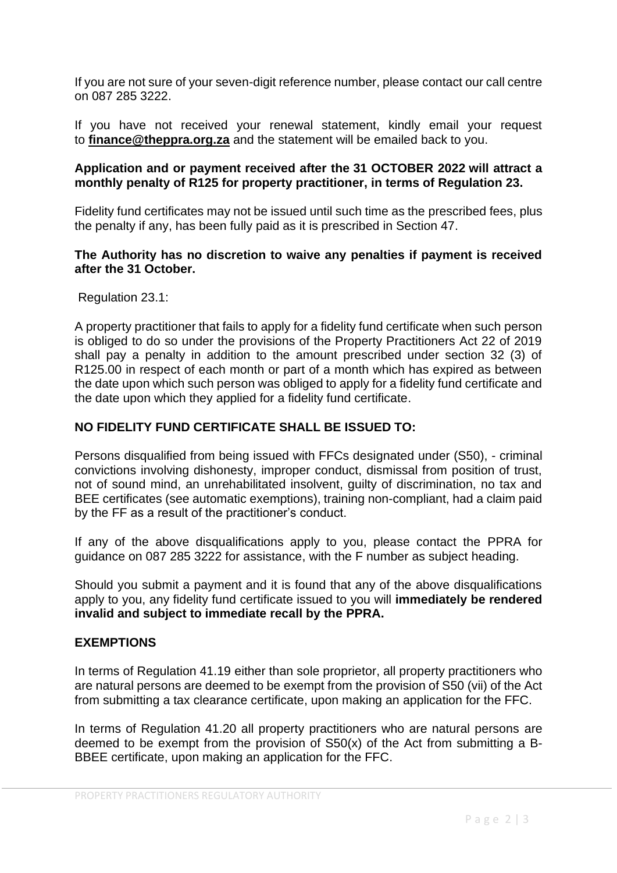If you are not sure of your seven-digit reference number, please contact our call centre on 087 285 3222.

If you have not received your renewal statement, kindly email your request to **[finance@theppra.org.za](mailto:finance@theppra.org.za)** and the statement will be emailed back to you.

### **Application and or payment received after the 31 OCTOBER 2022 will attract a monthly penalty of R125 for property practitioner, in terms of Regulation 23.**

Fidelity fund certificates may not be issued until such time as the prescribed fees, plus the penalty if any, has been fully paid as it is prescribed in Section 47.

# **The Authority has no discretion to waive any penalties if payment is received after the 31 October.**

Regulation 23.1:

A property practitioner that fails to apply for a fidelity fund certificate when such person is obliged to do so under the provisions of the Property Practitioners Act 22 of 2019 shall pay a penalty in addition to the amount prescribed under section 32 (3) of R125.00 in respect of each month or part of a month which has expired as between the date upon which such person was obliged to apply for a fidelity fund certificate and the date upon which they applied for a fidelity fund certificate.

# **NO FIDELITY FUND CERTIFICATE SHALL BE ISSUED TO:**

Persons disqualified from being issued with FFCs designated under (S50), - criminal convictions involving dishonesty, improper conduct, dismissal from position of trust, not of sound mind, an unrehabilitated insolvent, guilty of discrimination, no tax and BEE certificates (see automatic exemptions), training non-compliant, had a claim paid by the FF as a result of the practitioner's conduct.

If any of the above disqualifications apply to you, please contact the PPRA for guidance on 087 285 3222 for assistance, with the F number as subject heading.

Should you submit a payment and it is found that any of the above disqualifications apply to you, any fidelity fund certificate issued to you will **immediately be rendered invalid and subject to immediate recall by the PPRA.**

# **EXEMPTIONS**

In terms of Regulation 41.19 either than sole proprietor, all property practitioners who are natural persons are deemed to be exempt from the provision of S50 (vii) of the Act from submitting a tax clearance certificate, upon making an application for the FFC.

In terms of Regulation 41.20 all property practitioners who are natural persons are deemed to be exempt from the provision of S50(x) of the Act from submitting a B-BBEE certificate, upon making an application for the FFC.